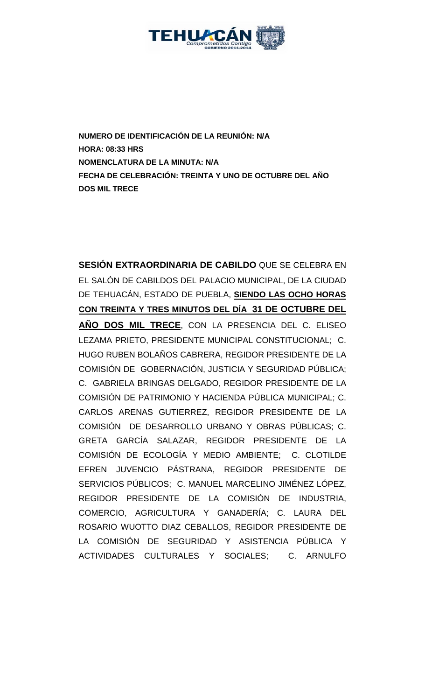

**NUMERO DE IDENTIFICACIÓN DE LA REUNIÓN: N/A HORA: 08:33 HRS NOMENCLATURA DE LA MINUTA: N/A FECHA DE CELEBRACIÓN: TREINTA Y UNO DE OCTUBRE DEL AÑO DOS MIL TRECE** 

**SESIÓN EXTRAORDINARIA DE CABILDO** QUE SE CELEBRA EN EL SALÓN DE CABILDOS DEL PALACIO MUNICIPAL, DE LA CIUDAD DE TEHUACÁN, ESTADO DE PUEBLA, **SIENDO LAS OCHO HORAS CON TREINTA Y TRES MINUTOS DEL DÍA 31 DE OCTUBRE DEL AÑO DOS MIL TRECE**, CON LA PRESENCIA DEL C. ELISEO LEZAMA PRIETO, PRESIDENTE MUNICIPAL CONSTITUCIONAL; C. HUGO RUBEN BOLAÑOS CABRERA, REGIDOR PRESIDENTE DE LA COMISIÓN DE GOBERNACIÓN, JUSTICIA Y SEGURIDAD PÚBLICA; C. GABRIELA BRINGAS DELGADO, REGIDOR PRESIDENTE DE LA COMISIÓN DE PATRIMONIO Y HACIENDA PÚBLICA MUNICIPAL; C. CARLOS ARENAS GUTIERREZ, REGIDOR PRESIDENTE DE LA COMISIÓN DE DESARROLLO URBANO Y OBRAS PÚBLICAS; C. GRETA GARCÍA SALAZAR, REGIDOR PRESIDENTE DE LA COMISIÓN DE ECOLOGÍA Y MEDIO AMBIENTE; C. CLOTILDE EFREN JUVENCIO PÁSTRANA, REGIDOR PRESIDENTE DE SERVICIOS PÚBLICOS; C. MANUEL MARCELINO JIMÉNEZ LÓPEZ, REGIDOR PRESIDENTE DE LA COMISIÓN DE INDUSTRIA, COMERCIO, AGRICULTURA Y GANADERÍA; C. LAURA DEL ROSARIO WUOTTO DIAZ CEBALLOS, REGIDOR PRESIDENTE DE LA COMISIÓN DE SEGURIDAD Y ASISTENCIA PÚBLICA Y ACTIVIDADES CULTURALES Y SOCIALES; C. ARNULFO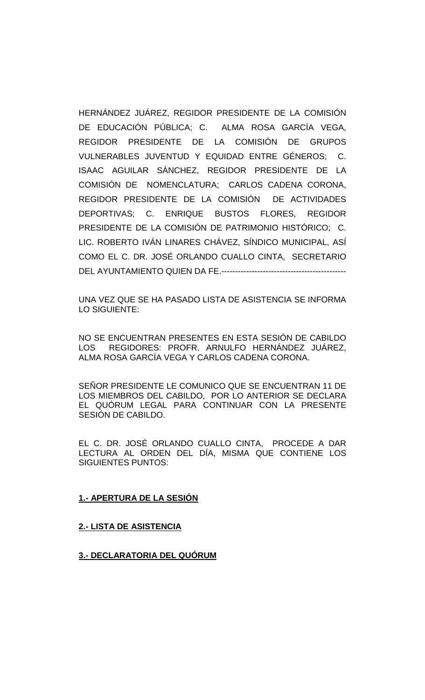HERNÁNDEZ JUÁREZ, REGIDOR PRESIDENTE DE LA COMISIÓN DE EDUCACIÓN PÚBLICA; C. ALMA ROSA GARCÍA VEGA, REGIDOR PRESIDENTE DE LA COMISIÓN DE GRUPOS VULNERABLES JUVENTUD Y EQUIDAD ENTRE GÉNEROS; C. ISAAC AGUILAR SÁNCHEZ, REGIDOR PRESIDENTE DE LA COMISIÓN DE NOMENCLATURA; CARLOS CADENA CORONA, REGIDOR PRESIDENTE DE LA COMISIÓN DE ACTIVIDADES DEPORTIVAS; C. ENRIQUE BUSTOS FLORES, REGIDOR PRESIDENTE DE LA COMISIÓN DE PATRIMONIO HISTÓRICO; C. LIC. ROBERTO IVÁN LINARES CHÁVEZ, SÍNDICO MUNICIPAL, ASÍ COMO EL C. DR. JOSÉ ORLANDO CUALLO CINTA, SECRETARIO DEL AYUNTAMIENTO QUIEN DA FE.---------------------------------------------

UNA VEZ QUE SE HA PASADO LISTA DE ASISTENCIA SE INFORMA LO SIGUIENTE:

NO SE ENCUENTRAN PRESENTES EN ESTA SESIÓN DE CABILDO LOS REGIDORES: PROFR. ARNULFO HERNÁNDEZ JUÁREZ, ALMA ROSA GARCÍA VEGA Y CARLOS CADENA CORONA.

SEÑOR PRESIDENTE LE COMUNICO QUE SE ENCUENTRAN 11 DE LOS MIEMBROS DEL CABILDO, POR LO ANTERIOR SE DECLARA EL QUÓRUM LEGAL PARA CONTINUAR CON LA PRESENTE SESIÓN DE CABILDO.

EL C. DR. JOSÉ ORLANDO CUALLO CINTA, PROCEDE A DAR LECTURA AL ORDEN DEL DÍA, MISMA QUE CONTIENE LOS SIGUIENTES PUNTOS:

#### **1.- APERTURA DE LA SESIÓN**

#### **2.- LISTA DE ASISTENCIA**

#### **3.- DECLARATORIA DEL QUÓRUM**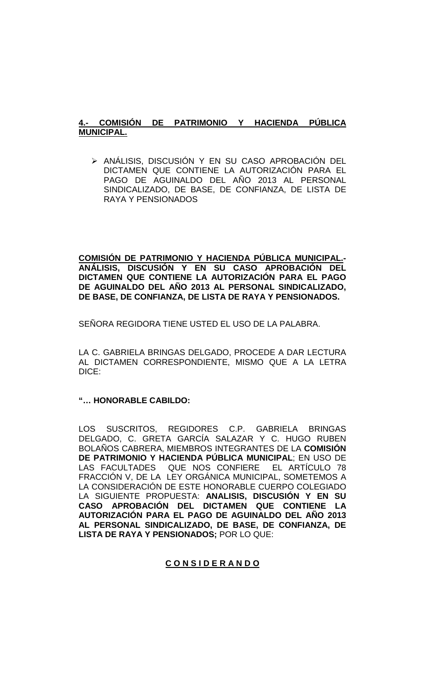# **4.- COMISIÓN DE PATRIMONIO Y HACIENDA PÚBLICA MUNICIPAL.**

> ANÁLISIS, DISCUSIÓN Y EN SU CASO APROBACIÓN DEL DICTAMEN QUE CONTIENE LA AUTORIZACIÓN PARA EL PAGO DE AGUINALDO DEL AÑO 2013 AL PERSONAL SINDICALIZADO, DE BASE, DE CONFIANZA, DE LISTA DE RAYA Y PENSIONADOS

**COMISIÓN DE PATRIMONIO Y HACIENDA PÚBLICA MUNICIPAL.- ANÁLISIS, DISCUSIÓN Y EN SU CASO APROBACIÓN DEL DICTAMEN QUE CONTIENE LA AUTORIZACIÓN PARA EL PAGO DE AGUINALDO DEL AÑO 2013 AL PERSONAL SINDICALIZADO, DE BASE, DE CONFIANZA, DE LISTA DE RAYA Y PENSIONADOS.**

SENORA REGIDORA TIENE USTED EL USO DE LA PALABRA.

LA C. GABRIELA BRINGAS DELGADO, PROCEDE A DAR LECTURA AL DICTAMEN CORRESPONDIENTE, MISMO QUE A LA LETRA DICE:

# **"… HONORABLE CABILDO:**

LOS SUSCRITOS, REGIDORES C.P. GABRIELA BRINGAS DELGADO, C. GRETA GARCÍA SALAZAR Y C. HUGO RUBEN BOLAÑOS CABRERA, MIEMBROS INTEGRANTES DE LA **COMISIÓN DE PATRIMONIO Y HACIENDA PÚBLICA MUNICIPAL**; EN USO DE LAS FACULTADES QUE NOS CONFIERE EL ARTÍCULO 78 FRACCIÓN V, DE LA LEY ORGÁNICA MUNICIPAL, SOMETEMOS A LA CONSIDERACIÓN DE ESTE HONORABLE CUERPO COLEGIADO LA SIGUIENTE PROPUESTA: **ANALISIS, DISCUSIÓN Y EN SU CASO APROBACIÓN DEL DICTAMEN QUE CONTIENE LA AUTORIZACIÓN PARA EL PAGO DE AGUINALDO DEL AÑO 2013 AL PERSONAL SINDICALIZADO, DE BASE, DE CONFIANZA, DE LISTA DE RAYA Y PENSIONADOS;** POR LO QUE:

# **C O N S I D E R A N D O**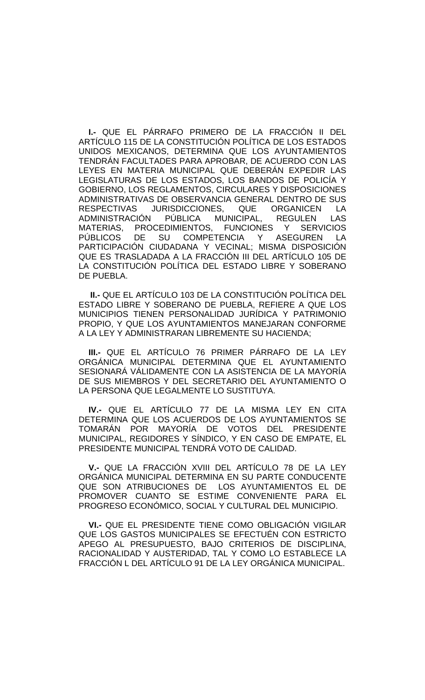**I.-** QUE EL PÁRRAFO PRIMERO DE LA FRACCIÓN II DEL ARTÍCULO 115 DE LA CONSTITUCIÓN POLÍTICA DE LOS ESTADOS UNIDOS MEXICANOS, DETERMINA QUE LOS AYUNTAMIENTOS TENDRÁN FACULTADES PARA APROBAR, DE ACUERDO CON LAS LEYES EN MATERIA MUNICIPAL QUE DEBERÁN EXPEDIR LAS LEGISLATURAS DE LOS ESTADOS, LOS BANDOS DE POLICÍA Y GOBIERNO, LOS REGLAMENTOS, CIRCULARES Y DISPOSICIONES ADMINISTRATIVAS DE OBSERVANCIA GENERAL DENTRO DE SUS<br>RESPECTIVAS JURISDICCIONES, QUE ORGANICEN LA JURISDICCIONES, QUE ORGANICEN LA<br>I PÚBLICA MUNICIPAL, REGULEN LAS ADMINISTRACIÓN PÚBLICA MUNICIPAL, REGULEN MATERIAS, PROCEDIMIENTOS, FUNCIONES Y SERVICIOS<br>PÚBLICOS DE SU COMPETENCIA Y ASEGUREN LA PÚBLICOS DE SU COMPETENCIA Y ASEGUREN LA PARTICIPACIÓN CIUDADANA Y VECINAL; MISMA DISPOSICIÓN QUE ES TRASLADADA A LA FRACCIÓN III DEL ARTÍCULO 105 DE LA CONSTITUCIÓN POLÍTICA DEL ESTADO LIBRE Y SOBERANO DE PUEBLA.

 **II.-** QUE EL ARTÍCULO 103 DE LA CONSTITUCIÓN POLÍTICA DEL ESTADO LIBRE Y SOBERANO DE PUEBLA, REFIERE A QUE LOS MUNICIPIOS TIENEN PERSONALIDAD JURÍDICA Y PATRIMONIO PROPIO, Y QUE LOS AYUNTAMIENTOS MANEJARAN CONFORME A LA LEY Y ADMINISTRARAN LIBREMENTE SU HACIENDA;

**III.-** QUE EL ARTÍCULO 76 PRIMER PÁRRAFO DE LA LEY ORGÁNICA MUNICIPAL DETERMINA QUE EL AYUNTAMIENTO SESIONARÁ VÁLIDAMENTE CON LA ASISTENCIA DE LA MAYORÍA DE SUS MIEMBROS Y DEL SECRETARIO DEL AYUNTAMIENTO O LA PERSONA QUE LEGALMENTE LO SUSTITUYA.

**IV.-** QUE EL ARTÍCULO 77 DE LA MISMA LEY EN CITA DETERMINA QUE LOS ACUERDOS DE LOS AYUNTAMIENTOS SE TOMARÁN POR MAYORÍA DE VOTOS DEL PRESIDENTE MUNICIPAL, REGIDORES Y SÍNDICO, Y EN CASO DE EMPATE, EL PRESIDENTE MUNICIPAL TENDRÁ VOTO DE CALIDAD.

**V.-** QUE LA FRACCIÓN XVIII DEL ARTÍCULO 78 DE LA LEY ORGÁNICA MUNICIPAL DETERMINA EN SU PARTE CONDUCENTE QUE SON ATRIBUCIONES DE LOS AYUNTAMIENTOS EL DE PROMOVER CUANTO SE ESTIME CONVENIENTE PARA EL PROGRESO ECONÓMICO, SOCIAL Y CULTURAL DEL MUNICIPIO.

**VI.-** QUE EL PRESIDENTE TIENE COMO OBLIGACIÓN VIGILAR QUE LOS GASTOS MUNICIPALES SE EFECTUÉN CON ESTRICTO APEGO AL PRESUPUESTO, BAJO CRITERIOS DE DISCIPLINA, RACIONALIDAD Y AUSTERIDAD, TAL Y COMO LO ESTABLECE LA FRACCIÓN L DEL ARTÍCULO 91 DE LA LEY ORGÁNICA MUNICIPAL.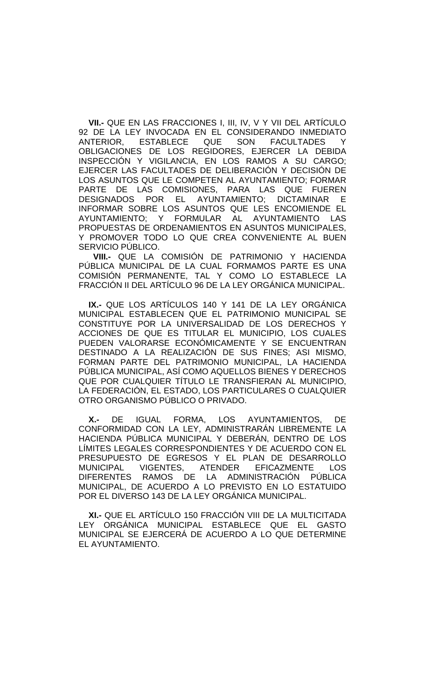**VII.-** QUE EN LAS FRACCIONES I, III, IV, V Y VII DEL ARTÍCULO 92 DE LA LEY INVOCADA EN EL CONSIDERANDO INMEDIATO ANTERIOR, ESTABLECE QUE SON FACULTADES Y OBLIGACIONES DE LOS REGIDORES, EJERCER LA DEBIDA INSPECCIÓN Y VIGILANCIA, EN LOS RAMOS A SU CARGO; EJERCER LAS FACULTADES DE DELIBERACIÓN Y DECISIÓN DE LOS ASUNTOS QUE LE COMPETEN AL AYUNTAMIENTO; FORMAR PARTE DE LAS COMISIONES, PARA LAS QUE FUEREN<br>DESIGNADOS POR EL AYUNTAMIENTO: DICTAMINAR E AYUNTAMIENTO: DICTAMINAR E INFORMAR SOBRE LOS ASUNTOS QUE LES ENCOMIENDE EL AYUNTAMIENTO; Y FORMULAR AL AYUNTAMIENTO LAS PROPUESTAS DE ORDENAMIENTOS EN ASUNTOS MUNICIPALES, Y PROMOVER TODO LO QUE CREA CONVENIENTE AL BUEN SERVICIO PÚBLICO.

 **VIII.-** QUE LA COMISIÓN DE PATRIMONIO Y HACIENDA PÚBLICA MUNICIPAL DE LA CUAL FORMAMOS PARTE ES UNA COMISIÓN PERMANENTE, TAL Y COMO LO ESTABLECE LA FRACCIÓN II DEL ARTÍCULO 96 DE LA LEY ORGÁNICA MUNICIPAL.

**IX.-** QUE LOS ARTÍCULOS 140 Y 141 DE LA LEY ORGÁNICA MUNICIPAL ESTABLECEN QUE EL PATRIMONIO MUNICIPAL SE CONSTITUYE POR LA UNIVERSALIDAD DE LOS DERECHOS Y ACCIONES DE QUE ES TITULAR EL MUNICIPIO, LOS CUALES PUEDEN VALORARSE ECONÓMICAMENTE Y SE ENCUENTRAN DESTINADO A LA REALIZACIÓN DE SUS FINES; ASI MISMO, FORMAN PARTE DEL PATRIMONIO MUNICIPAL, LA HACIENDA PÚBLICA MUNICIPAL, ASÍ COMO AQUELLOS BIENES Y DERECHOS QUE POR CUALQUIER TÍTULO LE TRANSFIERAN AL MUNICIPIO, LA FEDERACIÓN, EL ESTADO, LOS PARTICULARES O CUALQUIER OTRO ORGANISMO PÚBLICO O PRIVADO.

**X.-** DE IGUAL FORMA, LOS AYUNTAMIENTOS, DE CONFORMIDAD CON LA LEY, ADMINISTRARÁN LIBREMENTE LA HACIENDA PÚBLICA MUNICIPAL Y DEBERÁN, DENTRO DE LOS LÍMITES LEGALES CORRESPONDIENTES Y DE ACUERDO CON EL PRESUPUESTO DE EGRESOS Y EL PLAN DE DESARROLLO<br>MUNICIPAL VIGENTES, ATENDER EFICAZMENTE LOS MUNICIPAL VIGENTES, ATENDER EFICAZMENTE LOS DIFERENTES RAMOS DE LA ADMINISTRACIÓN PÚBLICA MUNICIPAL, DE ACUERDO A LO PREVISTO EN LO ESTATUIDO POR EL DIVERSO 143 DE LA LEY ORGÁNICA MUNICIPAL.

**XI.-** QUE EL ARTÍCULO 150 FRACCIÓN VIII DE LA MULTICITADA LEY ORGÁNICA MUNICIPAL ESTABLECE QUE EL GASTO MUNICIPAL SE EJERCERÁ DE ACUERDO A LO QUE DETERMINE EL AYUNTAMIENTO.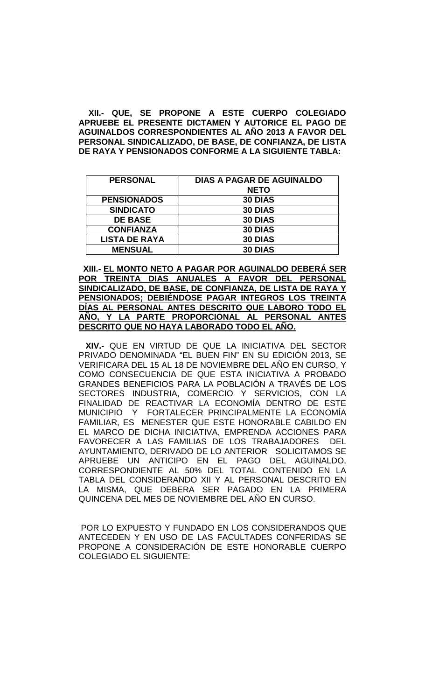**XII.- QUE, SE PROPONE A ESTE CUERPO COLEGIADO APRUEBE EL PRESENTE DICTAMEN Y AUTORICE EL PAGO DE AGUINALDOS CORRESPONDIENTES AL AÑO 2013 A FAVOR DEL PERSONAL SINDICALIZADO, DE BASE, DE CONFIANZA, DE LISTA DE RAYA Y PENSIONADOS CONFORME A LA SIGUIENTE TABLA:**

| <b>PERSONAL</b>      | <b>DIAS A PAGAR DE AGUINALDO</b><br><b>NETO</b> |
|----------------------|-------------------------------------------------|
| <b>PENSIONADOS</b>   | 30 DIAS                                         |
| <b>SINDICATO</b>     | 30 DIAS                                         |
| <b>DE BASE</b>       | 30 DIAS                                         |
| <b>CONFIANZA</b>     | 30 DIAS                                         |
| <b>LISTA DE RAYA</b> | 30 DIAS                                         |
| <b>MENSUAL</b>       | 30 DIAS                                         |

 **XIII.- EL MONTO NETO A PAGAR POR AGUINALDO DEBERÁ SER POR TREINTA DIAS ANUALES A FAVOR DEL PERSONAL SINDICALIZADO, DE BASE, DE CONFIANZA, DE LISTA DE RAYA Y PENSIONADOS; DEBIÉNDOSE PAGAR INTEGROS LOS TREINTA DÍAS AL PERSONAL ANTES DESCRITO QUE LABORO TODO EL AÑO, Y LA PARTE PROPORCIONAL AL PERSONAL ANTES DESCRITO QUE NO HAYA LABORADO TODO EL AÑO.**

 **XIV.-** QUE EN VIRTUD DE QUE LA INICIATIVA DEL SECTOR PRIVADO DENOMINADA "EL BUEN FIN" EN SU EDICIÓN 2013, SE VERIFICARA DEL 15 AL 18 DE NOVIEMBRE DEL AÑO EN CURSO, Y COMO CONSECUENCIA DE QUE ESTA INICIATIVA A PROBADO GRANDES BENEFICIOS PARA LA POBLACIÓN A TRAVÉS DE LOS SECTORES INDUSTRIA, COMERCIO Y SERVICIOS, CON LA FINALIDAD DE REACTIVAR LA ECONOMÍA DENTRO DE ESTE MUNICIPIO Y FORTALECER PRINCIPALMENTE LA ECONOMÍA FAMILIAR, ES MENESTER QUE ESTE HONORABLE CABILDO EN EL MARCO DE DICHA INICIATIVA, EMPRENDA ACCIONES PARA FAVORECER A LAS FAMILIAS DE LOS TRABAJADORES DEL AYUNTAMIENTO, DERIVADO DE LO ANTERIOR SOLICITAMOS SE APRUEBE UN ANTICIPO EN EL PAGO DEL AGUINALDO, CORRESPONDIENTE AL 50% DEL TOTAL CONTENIDO EN LA TABLA DEL CONSIDERANDO XII Y AL PERSONAL DESCRITO EN LA MISMA, QUE DEBERA SER PAGADO EN LA PRIMERA QUINCENA DEL MES DE NOVIEMBRE DEL AÑO EN CURSO.

POR LO EXPUESTO Y FUNDADO EN LOS CONSIDERANDOS QUE ANTECEDEN Y EN USO DE LAS FACULTADES CONFERIDAS SE PROPONE A CONSIDERACIÓN DE ESTE HONORABLE CUERPO COLEGIADO EL SIGUIENTE: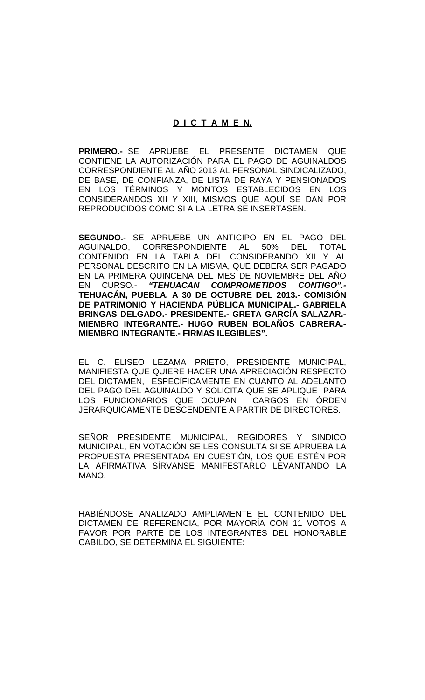#### **D I C T A M E N.**

**PRIMERO.-** SE APRUEBE EL PRESENTE DICTAMEN QUE CONTIENE LA AUTORIZACIÓN PARA EL PAGO DE AGUINALDOS CORRESPONDIENTE AL AÑO 2013 AL PERSONAL SINDICALIZADO, DE BASE, DE CONFIANZA, DE LISTA DE RAYA Y PENSIONADOS EN LOS TÉRMINOS Y MONTOS ESTABLECIDOS EN LOS CONSIDERANDOS XII Y XIII, MISMOS QUE AQUÍ SE DAN POR REPRODUCIDOS COMO SI A LA LETRA SE INSERTASEN.

**SEGUNDO.-** SE APRUEBE UN ANTICIPO EN EL PAGO DEL CORRESPONDIENTE AL 50% CONTENIDO EN LA TABLA DEL CONSIDERANDO XII Y AL PERSONAL DESCRITO EN LA MISMA, QUE DEBERA SER PAGADO EN LA PRIMERA QUINCENA DEL MES DE NOVIEMBRE DEL AÑO<br>EN CURSO.- "**TEHUACAN COMPROMETIDOS CONTIGO".-**EN CURSO.- *"TEHUACAN COMPROMETIDOS CONTIGO".-* **TEHUACÁN, PUEBLA, A 30 DE OCTUBRE DEL 2013.- COMISIÓN DE PATRIMONIO Y HACIENDA PÚBLICA MUNICIPAL.- GABRIELA BRINGAS DELGADO.- PRESIDENTE.- GRETA GARCÍA SALAZAR.- MIEMBRO INTEGRANTE.- HUGO RUBEN BOLAÑOS CABRERA.- MIEMBRO INTEGRANTE.- FIRMAS ILEGIBLES".**

EL C. ELISEO LEZAMA PRIETO, PRESIDENTE MUNICIPAL, MANIFIESTA QUE QUIERE HACER UNA APRECIACIÓN RESPECTO DEL DICTAMEN, ESPECÍFICAMENTE EN CUANTO AL ADELANTO DEL PAGO DEL AGUINALDO Y SOLICITA QUE SE APLIQUE PARA LOS FUNCIONARIOS QUE OCUPAN CARGOS EN ÓRDEN JERARQUICAMENTE DESCENDENTE A PARTIR DE DIRECTORES.

SEÑOR PRESIDENTE MUNICIPAL, REGIDORES Y SINDICO MUNICIPAL, EN VOTACIÓN SE LES CONSULTA SI SE APRUEBA LA PROPUESTA PRESENTADA EN CUESTIÓN, LOS QUE ESTÉN POR LA AFIRMATIVA SÍRVANSE MANIFESTARLO LEVANTANDO LA MANO.

HABIÉNDOSE ANALIZADO AMPLIAMENTE EL CONTENIDO DEL DICTAMEN DE REFERENCIA, POR MAYORÍA CON 11 VOTOS A FAVOR POR PARTE DE LOS INTEGRANTES DEL HONORABLE CABILDO, SE DETERMINA EL SIGUIENTE: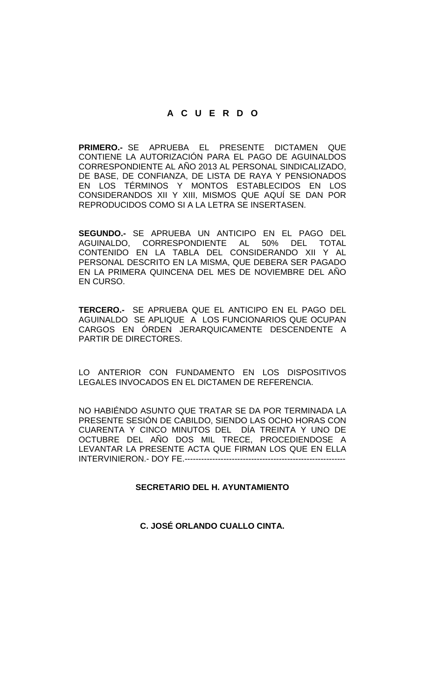# **A C U E R D O**

**PRIMERO.-** SE APRUEBA EL PRESENTE DICTAMEN QUE CONTIENE LA AUTORIZACIÓN PARA EL PAGO DE AGUINALDOS CORRESPONDIENTE AL AÑO 2013 AL PERSONAL SINDICALIZADO, DE BASE, DE CONFIANZA, DE LISTA DE RAYA Y PENSIONADOS EN LOS TÉRMINOS Y MONTOS ESTABLECIDOS EN LOS CONSIDERANDOS XII Y XIII, MISMOS QUE AQUÍ SE DAN POR REPRODUCIDOS COMO SI A LA LETRA SE INSERTASEN.

**SEGUNDO.-** SE APRUEBA UN ANTICIPO EN EL PAGO DEL AGUINALDO, CORRESPONDIENTE AL 50% DEL TOTAL CONTENIDO EN LA TABLA DEL CONSIDERANDO XII Y AL PERSONAL DESCRITO EN LA MISMA, QUE DEBERA SER PAGADO EN LA PRIMERA QUINCENA DEL MES DE NOVIEMBRE DEL AÑO EN CURSO.

**TERCERO.-** SE APRUEBA QUE EL ANTICIPO EN EL PAGO DEL AGUINALDO SE APLIQUE A LOS FUNCIONARIOS QUE OCUPAN CARGOS EN ÓRDEN JERARQUICAMENTE DESCENDENTE A PARTIR DE DIRECTORES.

LO ANTERIOR CON FUNDAMENTO EN LOS DISPOSITIVOS LEGALES INVOCADOS EN EL DICTAMEN DE REFERENCIA.

NO HABIÉNDO ASUNTO QUE TRATAR SE DA POR TERMINADA LA PRESENTE SESIÓN DE CABILDO, SIENDO LAS OCHO HORAS CON CUARENTA Y CINCO MINUTOS DEL DÍA TREINTA Y UNO DE OCTUBRE DEL AÑO DOS MIL TRECE, PROCEDIENDOSE A LEVANTAR LA PRESENTE ACTA QUE FIRMAN LOS QUE EN ELLA INTERVINIERON.- DOY FE.----------------------------------------------------------

# **SECRETARIO DEL H. AYUNTAMIENTO**

# **C. JOSÉ ORLANDO CUALLO CINTA.**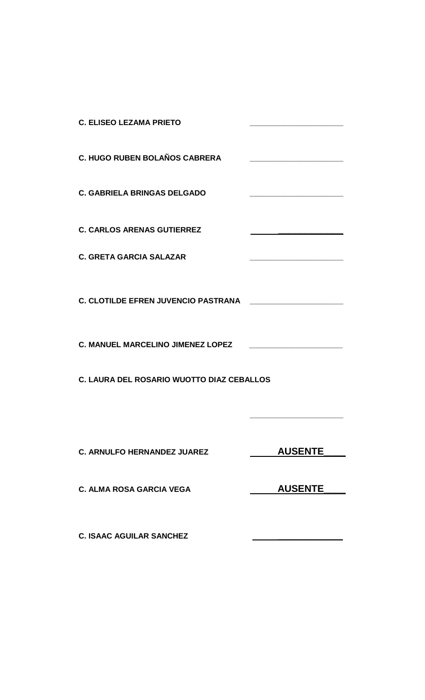| <b>C. ELISEO LEZAMA PRIETO</b>             |                |
|--------------------------------------------|----------------|
| <b>C. HUGO RUBEN BOLAÑOS CABRERA</b>       |                |
| <b>C. GABRIELA BRINGAS DELGADO</b>         |                |
| <b>C. CARLOS ARENAS GUTIERREZ</b>          |                |
| <b>C. GRETA GARCIA SALAZAR</b>             |                |
| <b>C. CLOTILDE EFREN JUVENCIO PASTRANA</b> |                |
| <b>C. MANUEL MARCELINO JIMENEZ LOPEZ</b>   |                |
| C. LAURA DEL ROSARIO WUOTTO DIAZ CEBALLOS  |                |
|                                            |                |
| <b>C. ARNULFO HERNANDEZ JUAREZ</b>         | <b>AUSENTE</b> |
| <b>C. ALMA ROSA GARCIA VEGA</b>            | <b>AUSENTE</b> |
| <b>C. ISAAC AGUILAR SANCHEZ</b>            |                |